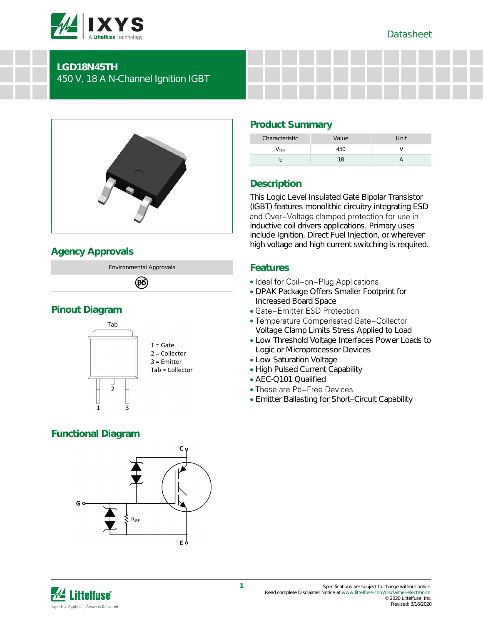

# **LGD18N45TH** 450 V, 18 A N-Channel Ignition IGBT



# **Agency Approvals**

Environmental Approvals 网

# **Pinout Diagram**



# **Functional Diagram**



### $V_{\text{CES}}$  and  $V$ Ic 2012 - 18 A

# **Description**

**Product Summary**

This Logic Level Insulated Gate Bipolar Transistor (IGBT) features monolithic circuitry integrating ESD<br>and Over-Voltage clamped protection for use in inductive coil drivers applications. Primary uses include Ignition, Direct Fuel Injection, or wherever high voltage and high current switching is required.

Characteristic Value Value Unit

## **Features**

- Ideal for Coil-on-Plug Applications
- DPAK Package Offers Smaller Footprint for Increased Board Space
- Gate-Emitter ESD Protection
- Temperature Compensated Gate-Collector Voltage Clamp Limits Stress Applied to Load
- Low Threshold Voltage Interfaces Power Loads to Logic or Microprocessor Devices
- Low Saturation Voltage
- High Pulsed Current Capability
- AEC-Q101 Qualified
- These are Pb-Free Devices
- Emitter Ballasting for Short-Circuit Capability

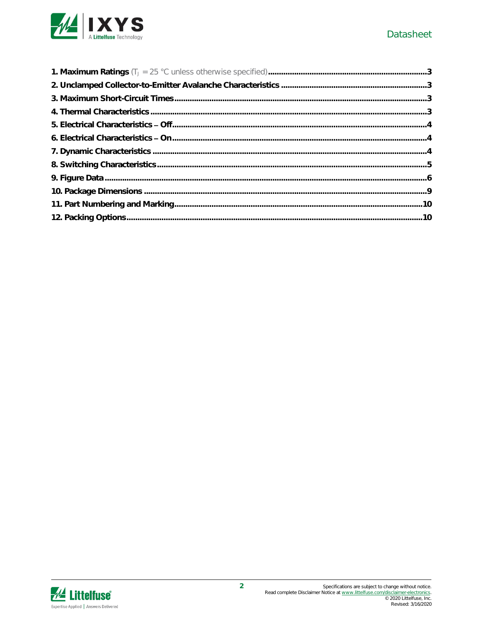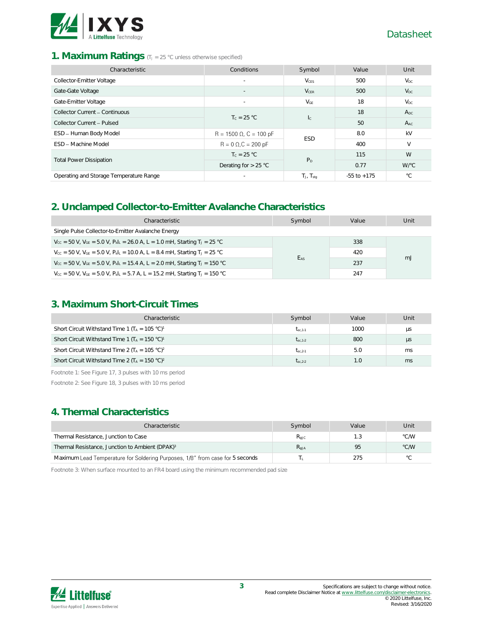

### 1. **Maximum Ratings** (T<sub>J</sub> = 25 °C unless otherwise specified)

| Characteristic                          | Conditions                     | Symbol                  | Value           | Unit         |
|-----------------------------------------|--------------------------------|-------------------------|-----------------|--------------|
| Collector-Emitter Voltage               | $\overline{\phantom{a}}$       | $V_{CES}$               | 500             | $V_{DC}$     |
| Gate-Gate Voltage                       |                                | $V_{CER}$               | 500             | $V_{DC}$     |
| Gate-Emitter Voltage                    | $\overline{\phantom{a}}$       | $V_{GE}$                | 18              | $V_{DC}$     |
| Collector Current - Continuous          | $T_c = 25 °C$                  |                         | 18              | $A_{DC}$     |
| Collector Current - Pulsed              |                                | $\mathsf{I}_\mathsf{C}$ | 50              | $A_{AC}$     |
| ESD - Human Body Model                  | $R = 1500 \Omega$ , C = 100 pF | <b>ESD</b>              | 8.0             | kV           |
| ESD - Machine Model                     | $R = 0 \Omega$ , $C = 200 pF$  |                         | 400             | V            |
|                                         | $T_c = 25 °C$                  | P <sub>D</sub>          | 115             | W            |
| <b>Total Power Dissipation</b>          | Derating for $> 25$ °C         |                         | 0.77            | W/°C         |
| Operating and Storage Temperature Range |                                | $T_J$ , $T_{stq}$       | $-55$ to $+175$ | $^{\circ}$ C |

### **2. Unclamped Collector-to-Emitter Avalanche Characteristics**

| Characteristic                                                                                                                     | Symbol          | Value | Unit |
|------------------------------------------------------------------------------------------------------------------------------------|-----------------|-------|------|
| Single Pulse Collector-to-Emitter Avalanche Energy                                                                                 |                 |       |      |
| $V_{\text{CC}} = 50$ V, $V_{\text{GE}} = 5.0$ V, $P_{\text{k}}I_{\text{L}} = 26.0$ A, L = 1.0 mH, Starting T <sub>J</sub> = 25 °C  |                 | 338   |      |
| $V_{\text{CC}} = 50$ V, $V_{\text{GE}} = 5.0$ V, $P_{\text{k}}I_{\text{L}} = 10.0$ A, L = 8.4 mH, Starting T <sub>J</sub> = 25 °C  | E <sub>AS</sub> | 420   | mJ   |
| $V_{\text{CC}} = 50$ V, $V_{\text{GE}} = 5.0$ V, $P_{\text{k}}I_{\text{L}} = 15.4$ A, L = 2.0 mH, Starting T <sub>J</sub> = 150 °C |                 | 237   |      |
| $V_{\text{cc}} = 50$ V, $V_{\text{GE}} = 5.0$ V, $P_{\text{k}}L = 5.7$ A, $L = 15.2$ mH, Starting T <sub>J</sub> = 150 °C          |                 | 247   |      |

# **3. Maximum Short-Circuit Times**

| Characteristic                                                        | Symbol       | Value  | Unit    |
|-----------------------------------------------------------------------|--------------|--------|---------|
| Short Circuit Withstand Time 1 ( $T_A = 105 °C$ ) <sup>1</sup>        | $t_{sc.1-1}$ | 1000   | μs      |
| Short Circuit Withstand Time 1 ( $T_A = 150 °C$ ) <sup>1</sup>        | $t_{sc.1-2}$ | 800    | $\mu$ s |
| Short Circuit Withstand Time 2 ( $T_A = 105 \degree C$ ) <sup>2</sup> | $t_{sc.2-1}$ | 5.0    | ms      |
| Short Circuit Withstand Time 2 ( $T_A = 150 °C$ ) <sup>2</sup>        | $t_{sc.2-2}$ | $\cup$ | ms      |

Footnote 1: See Figure 17, 3 pulses with 10 ms period

Footnote 2: See Figure 18, 3 pulses with 10 ms period

## **4. Thermal Characteristics**

| Characteristic                                                                | Symbol    | Value | Unit |
|-------------------------------------------------------------------------------|-----------|-------|------|
| Thermal Resistance, Junction to Case                                          | Reic      | 1.3   | °C/W |
| Thermal Resistance, Junction to Ambient (DPAK) <sup>3</sup>                   | $R_{AIA}$ | 95    | °C/W |
| Maximum Lead Temperature for Soldering Purposes, 1/8" from case for 5 seconds |           | 275   | °С   |

Footnote 3: When surface mounted to an FR4 board using the minimum recommended pad size

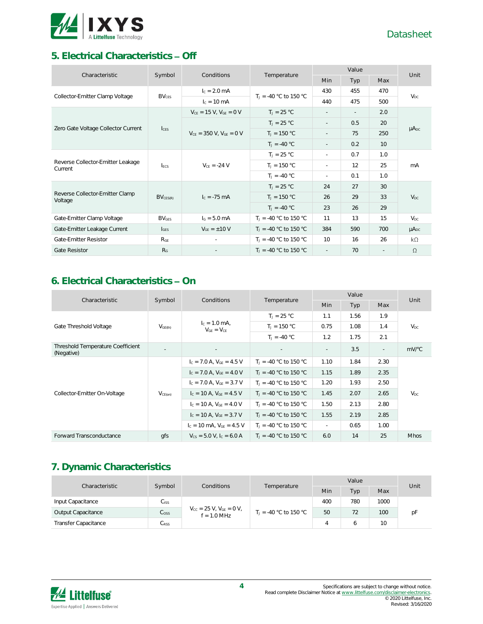

# **5. Electrical Characteristics Off**

| Characteristic                               | Symbol<br>Conditions |                                  | Temperature                       | Value                    |                          |                 | Unit            |
|----------------------------------------------|----------------------|----------------------------------|-----------------------------------|--------------------------|--------------------------|-----------------|-----------------|
|                                              |                      |                                  |                                   | Min                      | Typ                      | Max             |                 |
| Collector-Emitter Clamp Voltage              | $BV_{CFS}$           | $I_c = 2.0$ mA                   | $T_1 = -40$ °C to 150 °C          | 430                      | 455                      | 470             | $V_{DC}$        |
|                                              |                      | $c = 10$ mA                      |                                   | 440                      | 475                      | 500             |                 |
| Zero Gate Voltage Collector Current          |                      | $V_{CE} = 15 V$ , $V_{GE} = 0 V$ | $T_1 = 25 °C$                     | $\overline{\phantom{a}}$ | $\overline{\phantom{a}}$ | 2.0             |                 |
|                                              |                      |                                  | $T_J = 25 °C$                     | $\overline{\phantom{a}}$ | 0.5                      | 20              |                 |
|                                              | $l_{\text{CES}}$     | $V_{CE}$ = 350 V, $V_{GE}$ = 0 V | $T_J = 150 °C$                    | $\overline{\phantom{a}}$ | 75                       | 250             | $\mu A_{DC}$    |
|                                              |                      |                                  | $T_J = -40 °C$                    | $\overline{\phantom{a}}$ | 0.2                      | 10 <sup>°</sup> |                 |
|                                              | $I_{FCS}$            | $V_{CE} = -24 V$                 | $T_1 = 25 °C$                     | $\sim$                   | 0.7                      | 1.0             | mA              |
| Reverse Collector-Emitter Leakage<br>Current |                      |                                  | $T_J = 150 °C$                    | $\sim$                   | 12                       | 25              |                 |
|                                              |                      |                                  | $T_1 = -40 °C$                    | $\sim$                   | 0.1                      | 1.0             |                 |
|                                              |                      |                                  | $T_J = 25 °C$                     | 24                       | 27                       | 30              |                 |
| Reverse Collector-Emitter Clamp<br>Voltage   | $BV_{CES(R)}$        | $I_c = -75$ mA                   | $T_J = 150 °C$                    | 26                       | 29                       | 33              | V <sub>DC</sub> |
|                                              |                      |                                  | $T_J = -40 °C$                    | 23                       | 26                       | 29              |                 |
| Gate-Emitter Clamp Voltage                   | <b>BVGES</b>         | $I6 = 5.0 mA$                    | $T_{\text{J}} = -40$ °C to 150 °C | 11                       | 13                       | 15              | V <sub>DC</sub> |
| Gate-Emitter Leakage Current                 | $I_{GFS}$            | $V_{GF} = \pm 10 V$              | $T_1 = -40$ °C to 150 °C          | 384                      | 590                      | 700             | $\mu A_{DC}$    |
| <b>Gate-Emitter Resistor</b>                 | $R_{GE}$             | $\sim$                           | $T_1 = -40$ °C to 150 °C          | 10                       | 16                       | 26              | $k\Omega$       |
| <b>Gate Resistor</b>                         | R <sub>G</sub>       |                                  | $T_1 = -40$ °C to 150 °C          | $\sim$                   | 70                       | $\sim$          | $\Omega$        |

# **6.** Electrical Characteristics - On

| Characteristic                                  | Symbol       | Conditions                           | Temperature              | Value                    |            |                          | Unit        |
|-------------------------------------------------|--------------|--------------------------------------|--------------------------|--------------------------|------------|--------------------------|-------------|
|                                                 |              |                                      |                          | <b>Min</b>               | <b>Typ</b> | Max                      |             |
|                                                 |              |                                      | $T_1 = 25 °C$            | 1.1                      | 1.56       | 1.9                      |             |
| Gate Threshold Voltage                          | $V_{GE(th)}$ | $I_c = 1.0$ mA,<br>$V_{GF} = V_{CF}$ | $T_1 = 150 °C$           | 0.75                     | 1.08       | 1.4                      | $V_{DC}$    |
|                                                 |              |                                      | $T_1 = -40 °C$           | 1.2                      | 1.75       | 2.1                      |             |
| Threshold Temperature Coefficient<br>(Negative) | $\sim$       |                                      | $\sim$                   | $\overline{\phantom{a}}$ | 3.5        | $\overline{\phantom{a}}$ | $mV$ °C     |
|                                                 |              | $I_c = 7.0$ A, $V_{CF} = 4.5$ V      | $T_1 = -40$ °C to 150 °C | 1.10                     | 1.84       | 2.30                     |             |
|                                                 |              | $I_C = 7.0$ A, $V_{GF} = 4.0$ V      | $T_1 = -40$ °C to 150 °C | 1.15                     | 1.89       | 2.35                     |             |
|                                                 |              | $I_c = 7.0$ A, $V_{GF} = 3.7$ V      | $T_1 = -40$ °C to 150 °C | 1.20                     | 1.93       | 2.50                     |             |
| Collector-Emitter On-Voltage                    | $V_{CE(on)}$ | $I_c = 10$ A, $V_{GE} = 4.5$ V       | $T_1 = -40$ °C to 150 °C | 1.45                     | 2.07       | 2.65                     | $V_{DC}$    |
|                                                 |              | $I_c = 10$ A. $V_{GF} = 4.0$ V       | $T_1 = -40$ °C to 150 °C | 1.50                     | 2.13       | 2.80                     |             |
|                                                 |              | $I_c = 10$ A, $V_{GE} = 3.7$ V       | $T_1 = -40$ °C to 150 °C | 1.55                     | 2.19       | 2.85                     |             |
|                                                 |              | $I_c = 10$ mA, $V_{GE} = 4.5$ V      | $T_1 = -40$ °C to 150 °C | $\sim$                   | 0.65       | 1.00                     |             |
| Forward Transconductance                        | qfs          | $V_{CS} = 5.0 V$ , $I_C = 6.0 A$     | $T_1 = -40$ °C to 150 °C | 6.0                      | 14         | 25                       | <b>Mhos</b> |

# **7. Dynamic Characteristics**

| Characteristic              | Symbol<br><b>Conditions</b> | Temperature                                                       | Value |                                               |     | Unit |     |    |
|-----------------------------|-----------------------------|-------------------------------------------------------------------|-------|-----------------------------------------------|-----|------|-----|----|
|                             |                             |                                                                   |       | Min                                           | Typ | Max  |     |    |
| Input Capacitance           | Ciss                        | $V_{\text{cc}} = 25 V$ , $V_{\text{GE}} = 0 V$ ,<br>$f = 1.0$ MHz |       | 400                                           | 780 | 1000 |     |    |
| Output Capacitance          | C <sub>oss</sub>            |                                                                   |       | $\Gamma_1 = -40 \degree C$ to 150 $\degree C$ | 50  | 72   | 100 | pF |
| <b>Transfer Capacitance</b> | $C_{RSS}$                   |                                                                   |       |                                               |     | 10   |     |    |

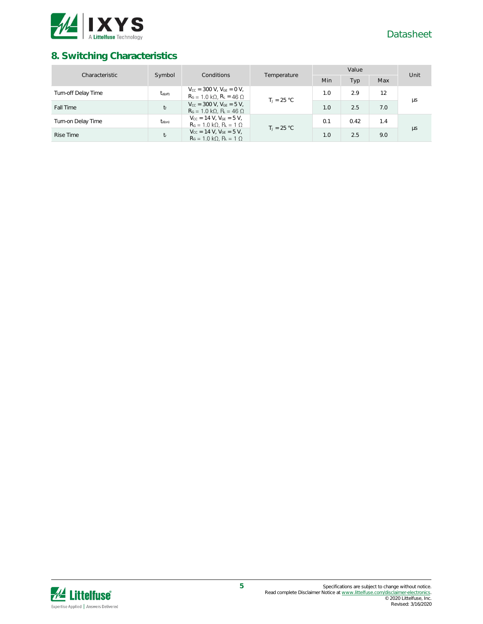

# **8. Switching Characteristics**

| Characteristic      | Symbol<br>Conditions | Temperature                                                                                                          | Value         |     |      | Unit |    |
|---------------------|----------------------|----------------------------------------------------------------------------------------------------------------------|---------------|-----|------|------|----|
|                     |                      |                                                                                                                      |               | Min | Typ  | Max  |    |
| Turn-off Delay Time | $t_{\text{d(off)}}$  | $V_{\text{cc}} = 300$ V, $V_{\text{GF}} = 0$ V,<br>$R_G = 1.0 k\Omega$ , $R_L = 46 \Omega$                           | $T_1 = 25 °C$ | 1.0 | 2.9  | 12   | μs |
| Fall Time           | $t_f$                | $V_{\text{CC}} = 300 \text{ V}$ . $V_{\text{GF}} = 5 \text{ V}$ .<br>$R_G = 1.0 \text{ k}\Omega$ , $R_L = 46 \Omega$ |               | 1.0 | 2.5  | 7.0  |    |
| Turn-on Delay Time  | $t_{d(on)}$          | $V_{CC} = 14 V. V_{GF} = 5 V.$<br>$R_G = 1.0 k\Omega$ , $R_L = 1 \Omega$                                             | $T_1 = 25 °C$ | 0.1 | 0.42 | 1.4  |    |
| <b>Rise Time</b>    | $t_{r}$              | $V_{CC} = 14 V. V_{GF} = 5 V.$<br>$RG = 1.0 k\Omega$ , $RI = 1 \Omega$                                               |               | 1.0 | 2.5  | 9.0  | μs |

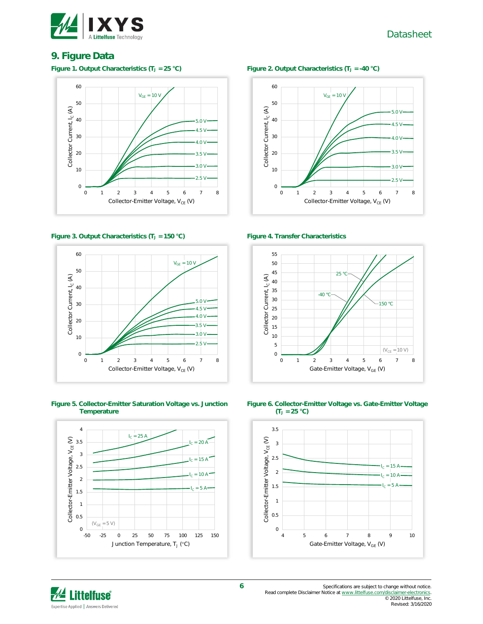

Datasheet

### **9. Figure Data**



### **Figure 3. Output Characteristics (T<sup>J</sup> = 150 °C) Figure 4. Transfer Characteristics**



**Figure 5. Collector-Emitter Saturation Voltage vs. Junction Temperature**



### **Figure 1. Output Characteristics (T<sup>J</sup> = 25 °C) Figure 2. Output Characteristics (T<sup>J</sup> = -40 °C)**









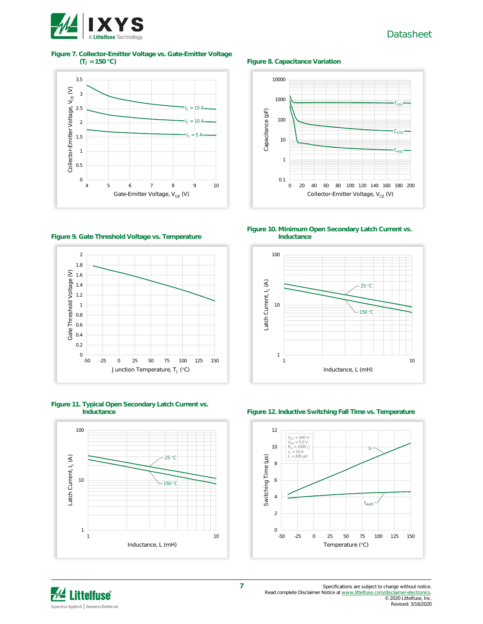

# Datasheet

# **Figure 7. Collector-Emitter Voltage vs. Gate-Emitter Voltage**





0 20 40 60 80 100 120 140 160 180 200

Collector-Emitter Voltage, V<sub>CE</sub> (V)

**(T<sup>J</sup> = 150 °C) Figure 8. Capacitance Variation**

**Figure 10. Minimum Open Secondary Latch Current vs. Inductance**



### **Figure 9. Gate Threshold Voltage vs. Temperature**



# **Figure 11. Typical Open Secondary Latch Current vs.**



### **Figure 12. Inductive Switching Fall Time vs. Temperature**





© 2020 Littelfuse, Inc. Revised: 3/16/2020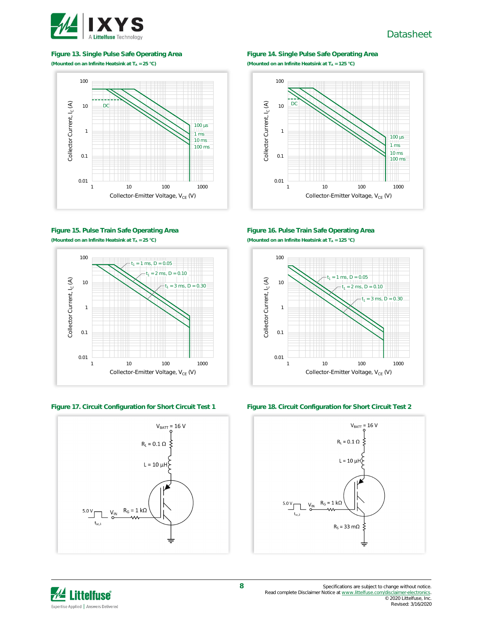

### **Figure 13. Single Pulse Safe Operating Area**

**(Mounted on an Infinite Heatsink at T<sup>A</sup> = 25 °C)**



### **Figure 15. Pulse Train Safe Operating Area (Mounted on an Infinite Heatsink at T<sup>A</sup> = 25 °C)**





### **Figure 14. Single Pulse Safe Operating Area (Mounted on an Infinite Heatsink at T<sup>A</sup> = 125 °C)**



### **Figure 16. Pulse Train Safe Operating Area (Mounted on an Infinite Heatsink at T<sup>A</sup> = 125 °C)**



**Figure 17. Circuit Configuration for Short Circuit Test 1 Figure 18. Circuit Configuration for Short Circuit Test 2**



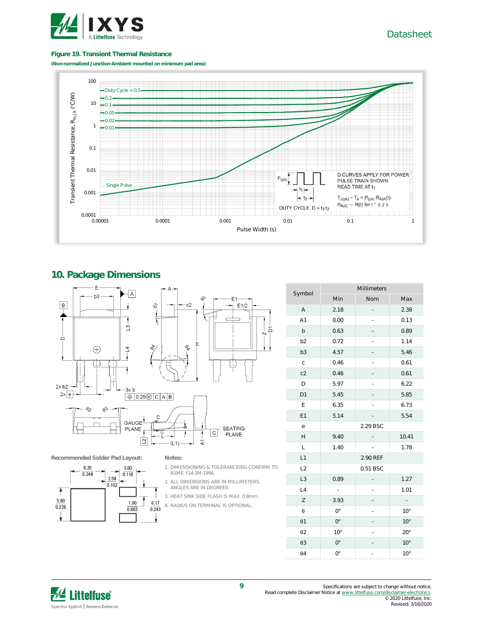

Datasheet

### **Figure 19. Transient Thermal Resistance**

**(Non-normalized Junction-Ambient mounted on minimum pad area)**



### **10. Package Dimensions**



**Recommended Solder Pad Layout: Notes:**



- 1. DIMENSIONING & TOLERANCEING CONFIRM TO ASME Y14.5M-1994.
- 2. ALL DIMENSIONS ARE IN MILLIMETERS. ANGLES ARE IN DEGREES.
- 3. HEAT SINK SIDE FLASH IS MAX. 0.8mm .
- 4. RADIUS ON TERMINAL IS OPTIONAL.

|                | Millimeters  |          |              |  |  |
|----------------|--------------|----------|--------------|--|--|
| Symbol         | Min          | Nom      | Max          |  |  |
| A              | 2.18         |          | 2.38         |  |  |
| A1             | 0.00         |          | 0.13         |  |  |
| b              | 0.63         |          | 0.89         |  |  |
| b <sub>2</sub> | 0.72         |          | 1.14         |  |  |
| b <sub>3</sub> | 4.57         |          | 5.46         |  |  |
| $\mathsf C$    | 0.46         |          | 0.61         |  |  |
| c2             | 0.46         |          | 0.61         |  |  |
| D              | 5.97         |          | 6.22         |  |  |
| D1             | 5.45         |          | 5.85         |  |  |
| Ε              | 6.35         |          | 6.73         |  |  |
| E1             | 5.14         |          | 5.54         |  |  |
| е              |              | 2.29 BSC |              |  |  |
| Н              | 9.40         |          | 10.41        |  |  |
| L              | 1.40         |          | 1.78         |  |  |
| L1             |              | 2.90 REF |              |  |  |
| L2             |              | 0.51 BSC |              |  |  |
| L3             | 0.89         |          | 1.27         |  |  |
| L4             | ÷,           |          | 1.01         |  |  |
| Ζ              | 3.93         |          |              |  |  |
| θ              | $0^{\circ}$  |          | $10^{\circ}$ |  |  |
| $\theta$ 1     | $0^{\circ}$  |          | $10^{\circ}$ |  |  |
| $\theta$ 2     | $10^{\circ}$ |          | 20°          |  |  |
| $\theta$ 3     | $0^{\circ}$  |          | $10^{\circ}$ |  |  |
| $\theta$ 4     | $0^{\circ}$  |          | $10^{\circ}$ |  |  |